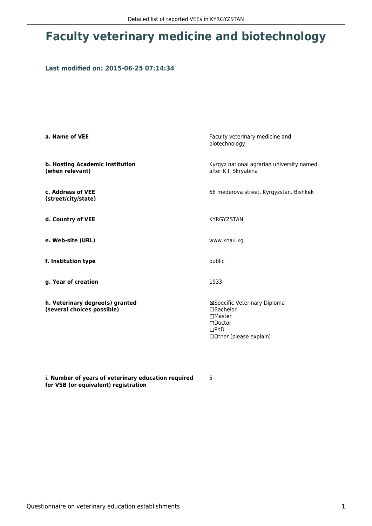## **Faculty veterinary medicine and biotechnology**

## **Last modified on: 2015-06-25 07:14:34**

| a. Name of VEE                                                | Faculty veterinary medicine and<br>biotechnology                                                                               |  |
|---------------------------------------------------------------|--------------------------------------------------------------------------------------------------------------------------------|--|
| b. Hosting Academic Institution<br>(when relevant)            | Kyrgyz national agrarian university named<br>after K.I. Skryabina                                                              |  |
| c. Address of VEE<br>(street/city/state)                      | 68 mederova street. Kyrgyzstan. Bishkek                                                                                        |  |
| d. Country of VEE                                             | <b>KYRGYZSTAN</b>                                                                                                              |  |
| e. Web-site (URL)                                             | www.knau.kg                                                                                                                    |  |
| f. Institution type                                           | public                                                                                                                         |  |
| g. Year of creation                                           | 1933                                                                                                                           |  |
| h. Veterinary degree(s) granted<br>(several choices possible) | ⊠Specific Veterinary Diploma<br>$\Box$ Bachelor<br>$\Box$ Master<br>$\square$ Doctor<br>$\Box$ PhD<br>□ Other (please explain) |  |

**i. Number of years of veterinary education required for VSB (or equivalent) registration**

5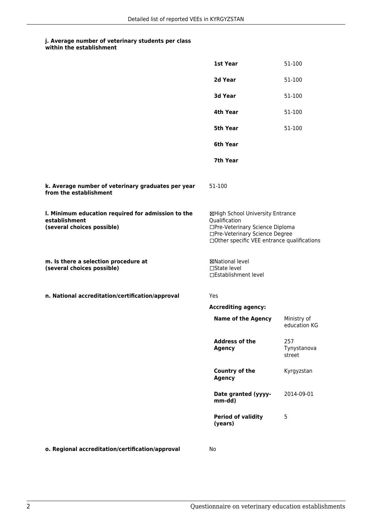## **j. Average number of veterinary students per class**

| within the establishment |  |
|--------------------------|--|
|--------------------------|--|

|                                                                                                   | 1st Year                                                                                                                                                              | 51-100                       |
|---------------------------------------------------------------------------------------------------|-----------------------------------------------------------------------------------------------------------------------------------------------------------------------|------------------------------|
|                                                                                                   | 2d Year                                                                                                                                                               | 51-100                       |
|                                                                                                   | 3d Year                                                                                                                                                               | 51-100                       |
|                                                                                                   | 4th Year                                                                                                                                                              | 51-100                       |
|                                                                                                   | 5th Year                                                                                                                                                              | 51-100                       |
|                                                                                                   | 6th Year                                                                                                                                                              |                              |
|                                                                                                   | 7th Year                                                                                                                                                              |                              |
| k. Average number of veterinary graduates per year<br>from the establishment                      | 51-100                                                                                                                                                                |                              |
| I. Minimum education required for admission to the<br>establishment<br>(several choices possible) | ⊠High School University Entrance<br>Qualification<br>□Pre-Veterinary Science Diploma<br>□Pre-Veterinary Science Degree<br>□Other specific VEE entrance qualifications |                              |
| m. Is there a selection procedure at<br>(several choices possible)                                | <b>⊠National level</b><br>□State level<br>□Establishment level                                                                                                        |                              |
| n. National accreditation/certification/approval                                                  | Yes                                                                                                                                                                   |                              |
|                                                                                                   | <b>Accrediting agency:</b>                                                                                                                                            |                              |
|                                                                                                   | <b>Name of the Agency</b>                                                                                                                                             | Ministry of<br>education KG  |
|                                                                                                   | <b>Address of the</b><br><b>Agency</b>                                                                                                                                | 257<br>Tynystanova<br>street |
|                                                                                                   | Country of the<br><b>Agency</b>                                                                                                                                       | Kyrgyzstan                   |
|                                                                                                   | Date granted (yyyy-<br>mm-dd)                                                                                                                                         | 2014-09-01                   |
|                                                                                                   | <b>Period of validity</b><br>(years)                                                                                                                                  | 5                            |
| o. Regional accreditation/certification/approval                                                  | No                                                                                                                                                                    |                              |